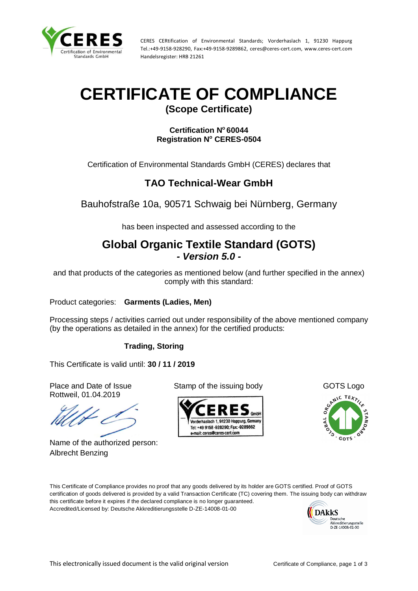

CERES CERtification of Environmental Standards; Vorderhaslach 1, 91230 Happurg Tel.:+49-9158-928290, Fax:+49-9158-9289862, ceres@ceres-cert.com, www.ceres-cert.com Handelsregister: HRB 21261

# **CERTIFICATE OF COMPLIANCE**

**(Scope Certificate)**

**Certification N <sup>o</sup> 60044 Registration N<sup>o</sup> CERES-0504**

Certification of Environmental Standards GmbH (CERES) declares that

### **TAO Technical-Wear GmbH**

Bauhofstraße 10a, 90571 Schwaig bei Nürnberg, Germany

has been inspected and assessed according to the

## **Global Organic Textile Standard (GOTS)** *- Version 5.0 -*

and that products of the categories as mentioned below (and further specified in the annex) comply with this standard:

Product categories: **Garments (Ladies, Men)**

Processing steps / activities carried out under responsibility of the above mentioned company (by the operations as detailed in the annex) for the certified products:

#### **Trading, Storing**

This Certificate is valid until: **30 / 11 / 2019**

Rottweil, 01.04.2019

Name of the authorized person: Albrecht Benzing

Place and Date of Issue Stamp of the issuing body GOTS Logo





This Certificate of Compliance provides no proof that any goods delivered by its holder are GOTS certified. Proof of GOTS certification of goods delivered is provided by a valid Transaction Certificate (TC) covering them. The issuing body can withdraw this certificate before it expires if the declared compliance is no longer guaranteed. Accredited/Licensed by: Deutsche Akkreditierungsstelle D-ZE-14008-01-00

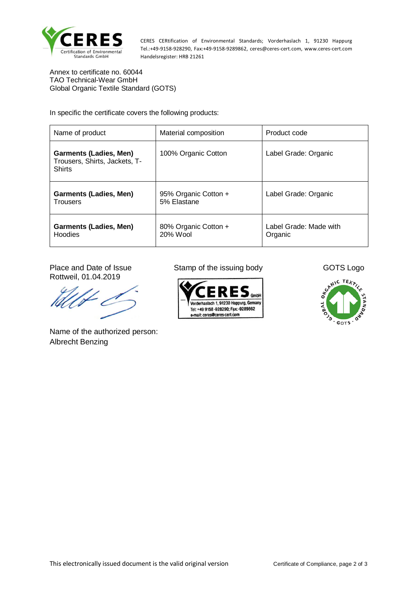

CERES CERtification of Environmental Standards; Vorderhaslach 1, 91230 Happurg Tel.:+49-9158-928290, Fax:+49-9158-9289862, ceres@ceres-cert.com, www.ceres-cert.com Handelsregister: HRB 21261

Annex to certificate no. 60044 TAO Technical-Wear GmbH Global Organic Textile Standard (GOTS)

In specific the certificate covers the following products:

| Name of product                                                                 | Material composition                | Product code                      |
|---------------------------------------------------------------------------------|-------------------------------------|-----------------------------------|
| <b>Garments (Ladies, Men)</b><br>Trousers, Shirts, Jackets, T-<br><b>Shirts</b> | 100% Organic Cotton                 | Label Grade: Organic              |
| <b>Garments (Ladies, Men)</b><br><b>Trousers</b>                                | 95% Organic Cotton +<br>5% Elastane | Label Grade: Organic              |
| <b>Garments (Ladies, Men)</b><br>Hoodies                                        | 80% Organic Cotton +<br>20% Wool    | Label Grade: Made with<br>Organic |

Rottweil, 01.04.2019

Name of the authorized person: Albrecht Benzing